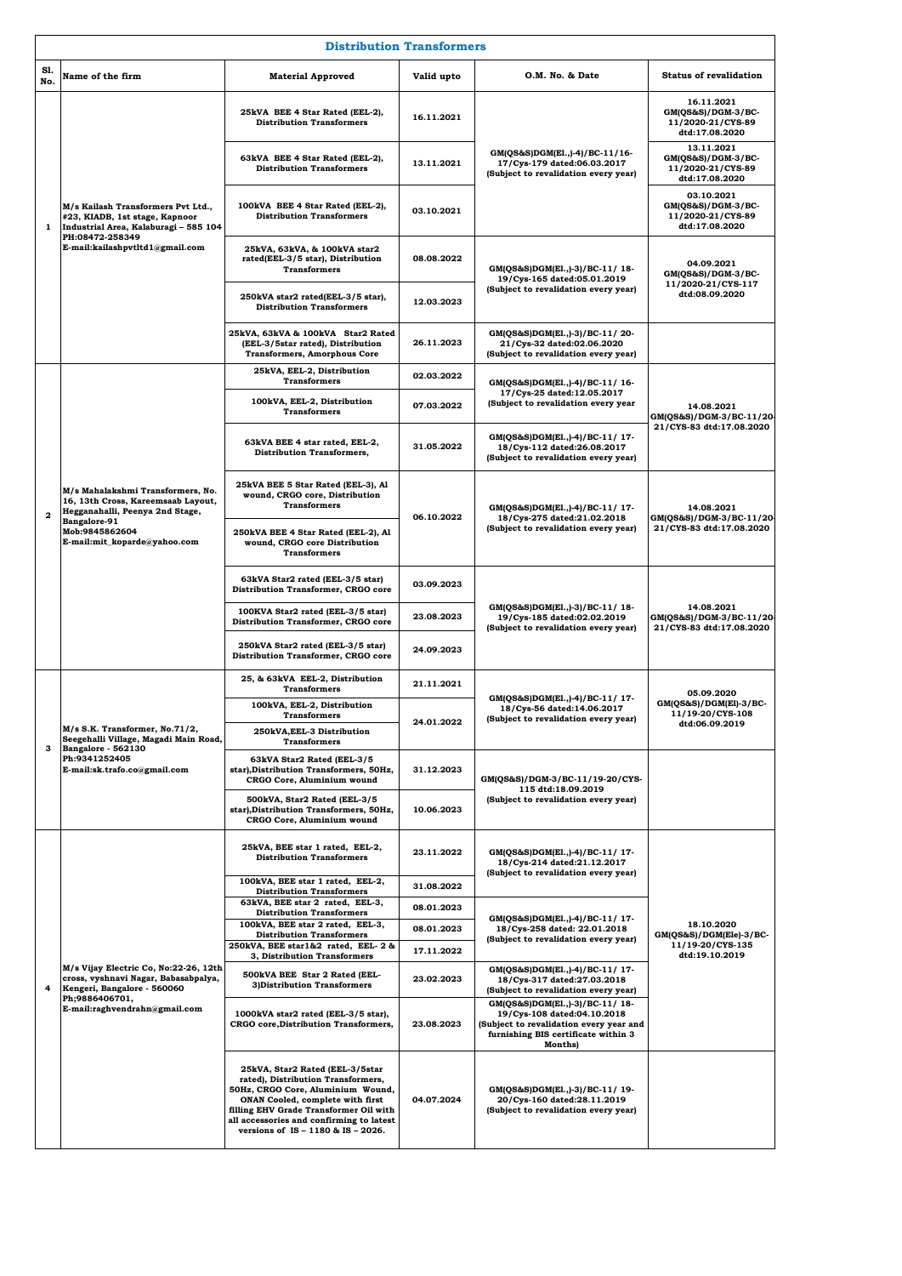|              | <b>Distribution Transformers</b>                                                                                                                                             |                                                                                                                                                                                                                                                                            |            |                                                                                                                                                                   |                                                                             |  |
|--------------|------------------------------------------------------------------------------------------------------------------------------------------------------------------------------|----------------------------------------------------------------------------------------------------------------------------------------------------------------------------------------------------------------------------------------------------------------------------|------------|-------------------------------------------------------------------------------------------------------------------------------------------------------------------|-----------------------------------------------------------------------------|--|
| Sl.<br>No.   | Name of the firm                                                                                                                                                             | <b>Material Approved</b>                                                                                                                                                                                                                                                   | Valid upto | O.M. No. & Date                                                                                                                                                   | <b>Status of revalidation</b>                                               |  |
|              | M/s Kailash Transformers Pvt Ltd.,<br>#23, KIADB, 1st stage, Kapnoor<br>Industrial Area, Kalaburagi - 585 104<br>PH:08472-258349<br>E-mail:kailashpvtltd1@gmail.com          | 25kVA BEE 4 Star Rated (EEL-2),<br><b>Distribution Transformers</b>                                                                                                                                                                                                        | 16.11.2021 | GM(QS&S)DGM(E1.,)-4)/BC-11/16-<br>17/Cys-179 dated:06.03.2017<br>(Subject to revalidation every year)                                                             | 16.11.2021<br>GM(QS&S)/DGM-3/BC-<br>11/2020-21/CYS-89<br>dtd:17.08.2020     |  |
|              |                                                                                                                                                                              | 63kVA BEE 4 Star Rated (EEL-2),<br><b>Distribution Transformers</b>                                                                                                                                                                                                        | 13.11.2021 |                                                                                                                                                                   | 13.11.2021<br>$GM(QS&S)/DGM-3/BC-$<br>11/2020-21/CYS-89<br>dtd:17.08.2020   |  |
| 1            |                                                                                                                                                                              | 100kVA BEE 4 Star Rated (EEL-2),<br><b>Distribution Transformers</b>                                                                                                                                                                                                       | 03.10.2021 |                                                                                                                                                                   | 03.10.2021<br>$GM(QS&S)/DGM-3/BC-$<br>11/2020-21/CYS-89<br>dtd:17.08.2020   |  |
|              |                                                                                                                                                                              | 25kVA, 63kVA, & 100kVA star2<br>rated(EEL-3/5 star), Distribution<br><b>Transformers</b>                                                                                                                                                                                   | 08.08.2022 | GM(QS&S)DGM(E1.,)-3)/BC-11/18-<br>19/Cys-165 dated:05.01.2019                                                                                                     | 04.09.2021<br>GM(QS&S)/DGM-3/BC-                                            |  |
|              |                                                                                                                                                                              | 250kVA star2 rated(EEL-3/5 star),<br><b>Distribution Transformers</b>                                                                                                                                                                                                      | 12.03.2023 | (Subject to revalidation every year)                                                                                                                              | 11/2020-21/CYS-117<br>dtd:08.09.2020                                        |  |
|              |                                                                                                                                                                              | 25kVA, 63kVA & 100kVA Star2 Rated<br>(EEL-3/5star rated), Distribution<br><b>Transformers, Amorphous Core</b>                                                                                                                                                              | 26.11.2023 | GM(QS&S)DGM(E1.,)-3)/BC-11/20-<br>21/Cys-32 dated:02.06.2020<br>(Subject to revalidation every year)                                                              |                                                                             |  |
|              |                                                                                                                                                                              | 25kVA, EEL-2, Distribution<br><b>Transformers</b>                                                                                                                                                                                                                          | 02.03.2022 | GM(QS&S)DGM(E1.,)-4)/BC-11/ 16-                                                                                                                                   |                                                                             |  |
|              |                                                                                                                                                                              | 100kVA, EEL-2, Distribution<br><b>Transformers</b>                                                                                                                                                                                                                         | 07.03.2022 | 17/Cys-25 dated:12.05.2017<br>(Subject to revalidation every year                                                                                                 | 14.08.2021<br>GM(QS&S)/DGM-3/BC-11/20                                       |  |
|              |                                                                                                                                                                              | 63kVA BEE 4 star rated, EEL-2,<br><b>Distribution Transformers,</b>                                                                                                                                                                                                        | 31.05.2022 | GM(QS&S)DGM(E1.,)-4)/BC-11/17-<br>18/Cys-112 dated:26.08.2017<br>(Subject to revalidation every year)                                                             | 21/CYS-83 dtd:17.08.2020                                                    |  |
| $\mathbf{2}$ | M/s Mahalakshmi Transformers, No.<br>16, 13th Cross, Kareemsaab Layout,<br>Hegganahalli, Peenya 2nd Stage,<br>Bangalore-91<br>Mob:9845862604<br>E-mail:mit_koparde@yahoo.com | 25kVA BEE 5 Star Rated (EEL-3), Al<br>wound, CRGO core, Distribution<br><b>Transformers</b>                                                                                                                                                                                | 06.10.2022 | GM(QS&S)DGM(E1.,)-4)/BC-11/17-                                                                                                                                    | 14.08.2021<br>GM(QS&S)/DGM-3/BC-11/20-<br>21/CYS-83 dtd:17.08.2020          |  |
|              |                                                                                                                                                                              | 250kVA BEE 4 Star Rated (EEL-2), Al<br>wound, CRGO core Distribution<br><b>Transformers</b>                                                                                                                                                                                |            | 18/Cys-275 dated:21.02.2018<br>(Subject to revalidation every year)                                                                                               |                                                                             |  |
|              |                                                                                                                                                                              | 63kVA Star2 rated (EEL-3/5 star)<br>Distribution Transformer, CRGO core                                                                                                                                                                                                    | 03.09.2023 | GM(QS&S)DGM(E1.,)-3)/BC-11/18-<br>19/Cys-185 dated:02.02.2019<br>(Subject to revalidation every year)                                                             | 14.08.2021<br>GM(QS&S)/DGM-3/BC-11/20-<br>21/CYS-83 dtd:17.08.2020          |  |
|              |                                                                                                                                                                              | 100KVA Star2 rated (EEL-3/5 star)<br>Distribution Transformer, CRGO core                                                                                                                                                                                                   | 23.08.2023 |                                                                                                                                                                   |                                                                             |  |
|              |                                                                                                                                                                              | 250kVA Star2 rated (EEL-3/5 star)<br>Distribution Transformer, CRGO core                                                                                                                                                                                                   | 24.09.2023 |                                                                                                                                                                   |                                                                             |  |
|              | M/s S.K. Transformer, No.71/2,<br>Seegehalli Village, Magadi Main Road,<br>Bangalore - 562130<br>Ph:9341252405<br>E-mail:sk.trafo.co@gmail.com                               | 25, & 63kVA EEL-2, Distribution<br><b>Transformers</b>                                                                                                                                                                                                                     | 21.11.2021 | GM(QS&S)DGM(E1.,)-4)/BC-11/17-<br>18/Cys-56 dated:14.06.2017<br>ubject to revalidation every year)                                                                | 05.09.2020<br>GM(QS&S)/DGM(El)-3/BC-<br>11/19-20/CYS-108<br>dtd:06.09.2019  |  |
|              |                                                                                                                                                                              | 100kVA, EEL-2, Distribution<br><b>Transformers</b>                                                                                                                                                                                                                         |            |                                                                                                                                                                   |                                                                             |  |
| з            |                                                                                                                                                                              | 250kVA, EEL-3 Distribution<br><b>Transformers</b>                                                                                                                                                                                                                          | 24.01.2022 |                                                                                                                                                                   |                                                                             |  |
|              |                                                                                                                                                                              | 63kVA Star2 Rated (EEL-3/5<br>star), Distribution Transformers, 50Hz,<br>CRGO Core, Aluminium wound                                                                                                                                                                        | 31.12.2023 | GM(QS&S)/DGM-3/BC-11/19-20/CYS-<br>115 dtd:18.09.2019                                                                                                             |                                                                             |  |
|              |                                                                                                                                                                              | 500kVA, Star2 Rated (EEL-3/5<br>star), Distribution Transformers, 50Hz,<br>CRGO Core, Aluminium wound                                                                                                                                                                      | 10.06.2023 | (Subject to revalidation every year)                                                                                                                              |                                                                             |  |
|              |                                                                                                                                                                              | 25kVA, BEE star 1 rated, EEL-2,<br><b>Distribution Transformers</b>                                                                                                                                                                                                        | 23.11.2022 | GM(QS&S)DGM(E1.,)-4)/BC-11/17-<br>18/Cys-214 dated:21.12.2017<br>(Subject to revalidation every year)                                                             |                                                                             |  |
|              |                                                                                                                                                                              | 100kVA, BEE star 1 rated, EEL-2,<br><b>Distribution Transformers</b>                                                                                                                                                                                                       | 31.08.2022 |                                                                                                                                                                   |                                                                             |  |
|              |                                                                                                                                                                              | 63kVA, BEE star 2 rated, EEL-3,<br><b>Distribution Transformers</b>                                                                                                                                                                                                        | 08.01.2023 |                                                                                                                                                                   |                                                                             |  |
|              |                                                                                                                                                                              | 100kVA, BEE star 2 rated, EEL-3,<br><b>Distribution Transformers</b>                                                                                                                                                                                                       | 08.01.2023 | GM(QS&S)DGM(E1.,)-4)/BC-11/17-<br>18/Cys-258 dated: 22.01.2018<br>(Subject to revalidation every year)                                                            | 18.10.2020<br>GM(QS&S)/DGM(Ele)-3/BC-<br>11/19-20/CYS-135<br>dtd:19.10.2019 |  |
|              |                                                                                                                                                                              | 250kVA, BEE star1&2 rated, EEL-2 &<br>3, Distribution Transformers                                                                                                                                                                                                         | 17.11.2022 |                                                                                                                                                                   |                                                                             |  |
| 4            | M/s Vijay Electric Co, No:22-26, 12th<br>cross, vyshnavi Nagar, Babasabpalya,<br>Kengeri, Bangalore - 560060<br>Ph;9886406701,<br>E-mail:raghvendrahn@gmail.com              | 500kVA BEE Star 2 Rated (EEL-<br><b>3)Distribution Transformers</b>                                                                                                                                                                                                        | 23.02.2023 | GM(QS&S)DGM(E1.,)-4)/BC-11/17-<br>18/Cys-317 dated:27.03.2018<br>(Subject to revalidation every year)                                                             |                                                                             |  |
|              |                                                                                                                                                                              | 1000kVA star2 rated (EEL-3/5 star),<br><b>CRGO</b> core, Distribution Transformers,                                                                                                                                                                                        | 23.08.2023 | GM(QS&S)DGM(E1.,)-3)/BC-11/18-<br>19/Cys-108 dated:04.10.2018<br>(Subject to revalidation every year and<br>furnishing BIS certificate within 3<br><b>Months)</b> |                                                                             |  |
|              |                                                                                                                                                                              | 25kVA, Star2 Rated (EEL-3/5star<br>rated), Distribution Transformers,<br>50Hz, CRGO Core, Aluminium Wound,<br>ONAN Cooled, complete with first<br>filling EHV Grade Transformer Oil with<br>all accessories and confirming to latest<br>versions of IS - 1180 & IS - 2026. | 04.07.2024 | GM(QS&S)DGM(E1.,)-3)/BC-11/19-<br>20/Cys-160 dated:28.11.2019<br>(Subject to revalidation every year)                                                             |                                                                             |  |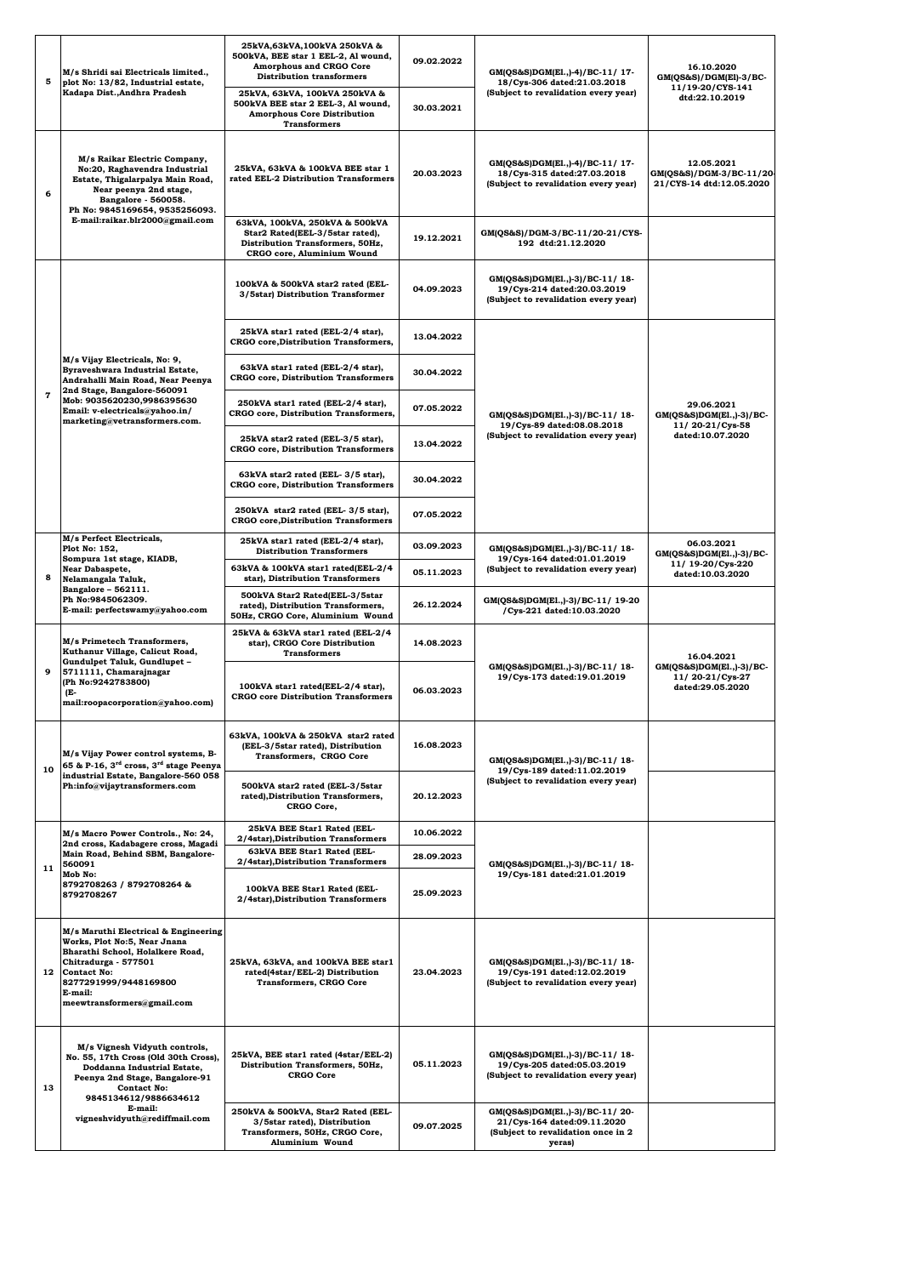| 5            | M/s Shridi sai Electricals limited.,<br>plot No: 13/82, Industrial estate,<br>Kadapa Dist., Andhra Pradesh                                                                                                               | 25kVA,63kVA,100kVA 250kVA &<br>500kVA, BEE star 1 EEL-2, Al wound,<br><b>Amorphous and CRGO Core</b><br><b>Distribution transformers</b><br>25kVA, 63kVA, 100kVA 250kVA & | 09.02.2022 | GM(QS&S)DGM(E1.,)-4)/BC-11/ 17-<br>18/Cys-306 dated:21.03.2018<br>(Subject to revalidation every year)        | 16.10.2020<br>$GM(QS&S)/DGM(E1)-3/BC-$<br>11/19-20/CYS-141         |
|--------------|--------------------------------------------------------------------------------------------------------------------------------------------------------------------------------------------------------------------------|---------------------------------------------------------------------------------------------------------------------------------------------------------------------------|------------|---------------------------------------------------------------------------------------------------------------|--------------------------------------------------------------------|
|              |                                                                                                                                                                                                                          | 500kVA BEE star 2 EEL-3, Al wound,<br><b>Amorphous Core Distribution</b><br><b>Transformers</b>                                                                           | 30.03.2021 |                                                                                                               | dtd:22.10.2019                                                     |
| 6            | M/s Raikar Electric Company,<br>No:20, Raghavendra Industrial<br>Estate, Thigalarpalya Main Road,<br>Near peenya 2nd stage,<br>Bangalore - 560058.<br>Ph No: 9845169654, 9535256093.<br>E-mail:raikar.blr2000@gmail.com  | 25kVA, 63kVA & 100kVA BEE star 1<br>rated EEL-2 Distribution Transformers                                                                                                 | 20.03.2023 | GM(QS&S)DGM(E1.,)-4)/BC-11/ 17-<br>18/Cys-315 dated:27.03.2018<br>(Subject to revalidation every year)        | 12.05.2021<br>GM(QS&S)/DGM-3/BC-11/20-<br>21/CYS-14 dtd:12.05.2020 |
|              |                                                                                                                                                                                                                          | 63kVA, 100kVA, 250kVA & 500kVA<br>Star2 Rated(EEL-3/5star rated),<br>Distribution Transformers, 50Hz,<br>CRGO core, Aluminium Wound                                       | 19.12.2021 | GM(QS&S)/DGM-3/BC-11/20-21/CYS-<br>192 dtd:21.12.2020                                                         |                                                                    |
|              |                                                                                                                                                                                                                          | 100kVA & 500kVA star2 rated (EEL-<br>3/5star) Distribution Transformer                                                                                                    | 04.09.2023 | GM(QS&S)DGM(E1.,)-3)/BC-11/18-<br>19/Cys-214 dated:20.03.2019<br>(Subject to revalidation every year)         |                                                                    |
|              |                                                                                                                                                                                                                          | 25kVA star1 rated (EEL-2/4 star),<br><b>CRGO</b> core, Distribution Transformers,                                                                                         | 13.04.2022 |                                                                                                               |                                                                    |
|              | M/s Vijay Electricals, No: 9,<br>Byraveshwara Industrial Estate,<br>Andrahalli Main Road, Near Peenya<br>2nd Stage, Bangalore-560091                                                                                     | 63kVA star1 rated (EEL-2/4 star),<br><b>CRGO</b> core, Distribution Transformers                                                                                          | 30.04.2022 |                                                                                                               |                                                                    |
| $\mathbf{7}$ | Mob: 9035620230,9986395630<br>Email: v-electricals@yahoo.in/<br>marketing@vetransformers.com.                                                                                                                            | 250kVA star1 rated (EEL-2/4 star),<br>CRGO core, Distribution Transformers,                                                                                               | 07.05.2022 | GM(QS&S)DGM(E1.,)-3)/BC-11/18-<br>19/Cys-89 dated:08.08.2018                                                  | 29.06.2021<br>$GM(QS&S)DGM(E1.,-3)/BC-$<br>11/20-21/Cys-58         |
|              |                                                                                                                                                                                                                          | 25kVA star2 rated (EEL-3/5 star),<br><b>CRGO</b> core, Distribution Transformers                                                                                          | 13.04.2022 | (Subject to revalidation every year)                                                                          | dated:10.07.2020                                                   |
|              |                                                                                                                                                                                                                          | 63kVA star2 rated (EEL-3/5 star),<br><b>CRGO</b> core, Distribution Transformers                                                                                          | 30.04.2022 |                                                                                                               |                                                                    |
|              |                                                                                                                                                                                                                          | 250kVA star2 rated (EEL-3/5 star),<br><b>CRGO</b> core, Distribution Transformers                                                                                         | 07.05.2022 |                                                                                                               |                                                                    |
|              | M/s Perfect Electricals,<br>Plot No: 152,<br>Sompura 1st stage, KIADB,<br>Near Dabaspete,<br>Nelamangala Taluk,<br>Bangalore - 562111.<br>Ph No:9845062309.<br>E-mail: perfectswamy@yahoo.com                            | 25kVA star1 rated (EEL-2/4 star),<br><b>Distribution Transformers</b>                                                                                                     | 03.09.2023 | GM(QS&S)DGM(E1.,)-3)/BC-11/18-<br>19/Cys-164 dated:01.01.2019<br>(Subject to revalidation every year)         | 06.03.2021<br>$GM(QS&S)DGM(E1.,-3)/BC-$                            |
| 8            |                                                                                                                                                                                                                          | 63kVA & 100kVA star1 rated(EEL-2/4<br>star), Distribution Transformers                                                                                                    | 05.11.2023 |                                                                                                               | 11/ 19-20/Cys-220<br>dated:10.03.2020                              |
|              |                                                                                                                                                                                                                          | 500kVA Star2 Rated(EEL-3/5star<br>rated), Distribution Transformers,<br>50Hz, CRGO Core, Aluminium Wound                                                                  | 26.12.2024 | GM(QS&S)DGM(E1.,)-3)/BC-11/ 19-20<br>/Cys-221 dated:10.03.2020                                                |                                                                    |
|              | M/s Primetech Transformers,<br>Kuthanur Village, Calicut Road,<br>Gundulpet Taluk, Gundlupet -<br>5711111, Chamarajnagar<br>(Ph No:9242783800)<br>(E-<br>mail:roopacorporation@yahoo.com)                                | 25kVA & 63kVA star1 rated (EEL-2/4<br>star), CRGO Core Distribution<br><b>Transformers</b>                                                                                | 14.08.2023 |                                                                                                               | 16.04.2021                                                         |
| 9            |                                                                                                                                                                                                                          | 100kVA star1 rated(EEL-2/4 star),<br><b>CRGO</b> core Distribution Transformers                                                                                           | 06.03.2023 | GM(QS&S)DGM(E1.,)-3)/BC-11/18-<br>19/Cys-173 dated:19.01.2019                                                 | $GM(QS&S)DGM(E1.,-3)/BC-$<br>11/20-21/Cys-27<br>dated:29.05.2020   |
| 10           | M/s Vijay Power control systems, B-<br>65 & P-16, 3 <sup>rd</sup> cross, 3 <sup>rd</sup> stage Peenya<br>industrial Estate, Bangalore-560 058<br>Ph:info@vijaytransformers.com                                           | 63kVA, 100kVA & 250kVA star2 rated<br>(EEL-3/5star rated), Distribution<br>Transformers, CRGO Core                                                                        | 16.08.2023 | GM(QS&S)DGM(E1.,)-3)/BC-11/18-<br>19/Cys-189 dated:11.02.2019                                                 |                                                                    |
|              |                                                                                                                                                                                                                          | 500kVA star2 rated (EEL-3/5star<br>rated), Distribution Transformers,<br>CRGO Core,                                                                                       | 20.12.2023 | (Subject to revalidation every year)                                                                          |                                                                    |
|              | M/s Macro Power Controls., No: 24,<br>2nd cross, Kadabagere cross, Magadi<br>Main Road, Behind SBM, Bangalore-<br>560091<br>Mob No:<br>8792708263 / 8792708264 &<br>8792708267                                           | 25kVA BEE Star1 Rated (EEL-<br>2/4star), Distribution Transformers                                                                                                        | 10.06.2022 |                                                                                                               |                                                                    |
| 11           |                                                                                                                                                                                                                          | 63kVA BEE Star1 Rated (EEL-<br>2/4star), Distribution Transformers                                                                                                        | 28.09.2023 | GM(QS&S)DGM(E1.,)-3)/BC-11/18-                                                                                |                                                                    |
|              |                                                                                                                                                                                                                          | 100kVA BEE Star1 Rated (EEL-<br>2/4star), Distribution Transformers                                                                                                       | 25.09.2023 | 19/Cys-181 dated:21.01.2019                                                                                   |                                                                    |
| 12           | M/s Maruthi Electrical & Engineering<br>Works, Plot No:5, Near Jnana<br>Bharathi School, Holalkere Road,<br>Chitradurga - 577501<br><b>Contact No:</b><br>8277291999/9448169800<br>E-mail:<br>meewtransformers@gmail.com | 25kVA, 63kVA, and 100kVA BEE star1<br>rated(4star/EEL-2) Distribution<br><b>Transformers, CRGO Core</b>                                                                   | 23.04.2023 | GM(QS&S)DGM(E1.,)-3)/BC-11/18-<br>19/Cys-191 dated:12.02.2019<br>(Subject to revalidation every year)         |                                                                    |
| 13           | M/s Vignesh Vidyuth controls,<br>No. 55, 17th Cross (Old 30th Cross),<br>Doddanna Industrial Estate,<br>Peenya 2nd Stage, Bangalore-91<br><b>Contact No:</b><br>9845134612/9886634612                                    | 25kVA, BEE star1 rated (4star/EEL-2)<br>Distribution Transformers, 50Hz,<br><b>CRGO Core</b>                                                                              | 05.11.2023 | GM(QS&S)DGM(E1.,)-3)/BC-11/18-<br>19/Cys-205 dated:05.03.2019<br>(Subject to revalidation every year)         |                                                                    |
|              | E-mail:<br>vigneshvidyuth@rediffmail.com                                                                                                                                                                                 | 250kVA & 500kVA, Star2 Rated (EEL-<br>3/5star rated), Distribution<br>Transformers, 50Hz, CRGO Core,<br>Aluminium Wound                                                   | 09.07.2025 | GM(QS&S)DGM(E1.,)-3)/BC-11/20-<br>21/Cys-164 dated:09.11.2020<br>(Subject to revalidation once in 2<br>yeras) |                                                                    |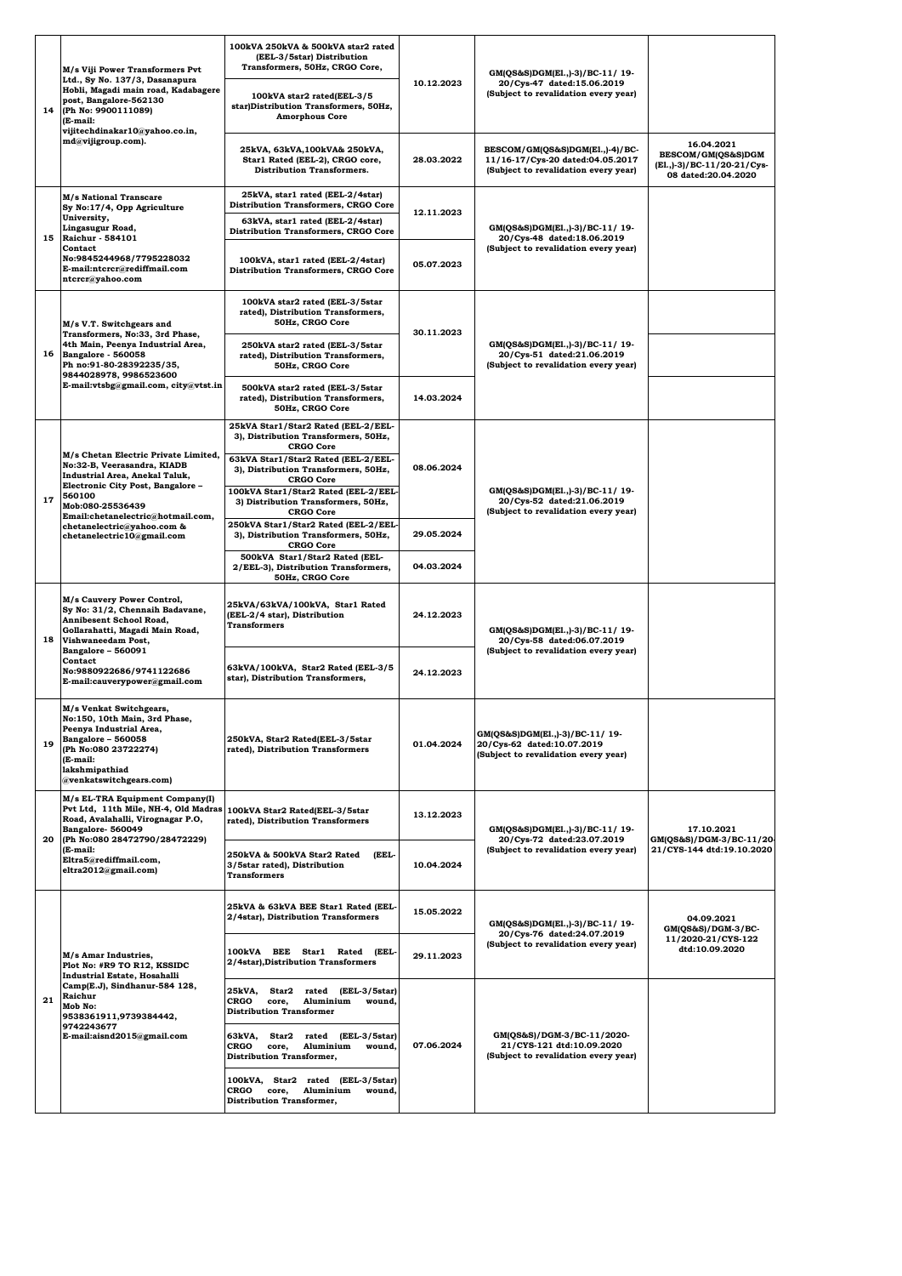|    | M/s Viji Power Transformers Pvt<br>Ltd., Sy No. 137/3, Dasanapura<br>Hobli, Magadi main road, Kadabagere<br>post, Bangalore-562130<br>(Ph No: 9900111089)<br>(E-mail:<br>vijitechdinakar10@yahoo.co.in,<br>md@vijigroup.com).                   | 100kVA 250kVA & 500kVA star2 rated<br>(EEL-3/5star) Distribution<br>Transformers, 50Hz, CRGO Core,                                                                 | 10.12.2023 | GM(QS&S)DGM(E1.,)-3)/BC-11/19-<br>20/Cys-47 dated:15.06.2019<br>(Subject to revalidation every year)        |                                                                                       |
|----|-------------------------------------------------------------------------------------------------------------------------------------------------------------------------------------------------------------------------------------------------|--------------------------------------------------------------------------------------------------------------------------------------------------------------------|------------|-------------------------------------------------------------------------------------------------------------|---------------------------------------------------------------------------------------|
| 14 |                                                                                                                                                                                                                                                 | 100kVA star2 rated(EEL-3/5<br>star)Distribution Transformers, 50Hz,<br><b>Amorphous Core</b>                                                                       |            |                                                                                                             |                                                                                       |
|    |                                                                                                                                                                                                                                                 | 25kVA, 63kVA, 100kVA& 250kVA,<br>Star1 Rated (EEL-2), CRGO core,<br><b>Distribution Transformers.</b>                                                              | 28.03.2022 | BESCOM/GM(QS&S)DGM(El.,)-4)/BC-<br>11/16-17/Cys-20 dated:04.05.2017<br>(Subject to revalidation every year) | 16.04.2021<br>BESCOM/GM(QS&S)DGM<br>(El.,)-3)/BC-11/20-21/Cys-<br>08 dated:20.04.2020 |
| 15 | M/s National Transcare<br>Sy No:17/4, Opp Agriculture<br>University,<br>Lingasugur Road.<br>Raichur - 584101<br>Contact<br>No:9845244968/7795228032<br>E-mail:ntcrcr@rediffmail.com<br>ntcrcr@yahoo.com                                         | 25kVA, star1 rated (EEL-2/4star)<br><b>Distribution Transformers, CRGO Core</b><br>63kVA, star1 rated (EEL-2/4star)<br><b>Distribution Transformers, CRGO Core</b> | 12.11.2023 | GM(QS&S)DGM(E1.,)-3)/BC-11/19-                                                                              |                                                                                       |
|    |                                                                                                                                                                                                                                                 | 100kVA, star1 rated (EEL-2/4star)<br><b>Distribution Transformers, CRGO Core</b>                                                                                   | 05.07.2023 | 20/Cys-48 dated:18.06.2019<br>(Subject to revalidation every year)                                          |                                                                                       |
|    | M/s V.T. Switchgears and                                                                                                                                                                                                                        | 100kVA star2 rated (EEL-3/5star<br>rated), Distribution Transformers,<br>50Hz, CRGO Core                                                                           | 30.11.2023 |                                                                                                             |                                                                                       |
| 16 | Transformers, No:33, 3rd Phase,<br>4th Main, Peenya Industrial Area,<br>Bangalore - 560058<br>Ph no:91-80-28392235/35,<br>9844028978, 9986523600                                                                                                | 250kVA star2 rated (EEL-3/5star<br>rated), Distribution Transformers,<br>50Hz, CRGO Core                                                                           |            | GM(QS&S)DGM(E1.,)-3)/BC-11/19-<br>20/Cys-51 dated:21.06.2019<br>(Subject to revalidation every year)        |                                                                                       |
|    | E-mail:vtsbg@gmail.com, city@vtst.in                                                                                                                                                                                                            | 500kVA star2 rated (EEL-3/5star<br>rated), Distribution Transformers,<br>50Hz, CRGO Core                                                                           | 14.03.2024 |                                                                                                             |                                                                                       |
|    | M/s Chetan Electric Private Limited,                                                                                                                                                                                                            | 25kVA Star1/Star2 Rated (EEL-2/EEL-<br>3), Distribution Transformers, 50Hz,<br><b>CRGO Core</b><br>63kVA Star1/Star2 Rated (EEL-2/EEL-                             |            |                                                                                                             |                                                                                       |
| 17 | No:32-B, Veerasandra, KIADB<br>Industrial Area, Anekal Taluk,<br>Electronic City Post, Bangalore -<br>560100<br>Mob:080-25536439<br>Email:chetanelectric@hotmail.com,<br>chetanelectric@yahoo.com &<br>chetanelectric10@gmail.com               | 3), Distribution Transformers, 50Hz,<br><b>CRGO Core</b><br>100kVA Star1/Star2 Rated (EEL-2/EEL-<br>3) Distribution Transformers, 50Hz,                            | 08.06.2024 | GM(QS&S)DGM(E1.,)-3)/BC-11/19-<br>20/Cys-52 dated:21.06.2019<br>(Subject to revalidation every year)        |                                                                                       |
|    |                                                                                                                                                                                                                                                 | <b>CRGO Core</b><br>250kVA Star1/Star2 Rated (EEL-2/EEL<br>3), Distribution Transformers, 50Hz,<br><b>CRGO Core</b>                                                | 29.05.2024 |                                                                                                             |                                                                                       |
|    |                                                                                                                                                                                                                                                 | 500kVA Star1/Star2 Rated (EEL-<br>2/EEL-3), Distribution Transformers,<br>50Hz, CRGO Core                                                                          | 04.03.2024 |                                                                                                             |                                                                                       |
| 18 | M/s Cauvery Power Control,<br>Sy No: 31/2, Chennaih Badavane,<br>Annibesent School Road,<br>Gollarahatti, Magadi Main Road,<br>Vishwaneedam Post,<br>Bangalore - 560091<br>Contact<br>No:9880922686/9741122686<br>E-mail:cauverypower@gmail.com | 25kVA/63kVA/100kVA, Star1 Rated<br>(EEL-2/4 star), Distribution<br><b>Transformers</b>                                                                             | 24.12.2023 | GM(QS&S)DGM(E1.,)-3)/BC-11/ 19-<br>20/Cys-58 dated:06.07.2019                                               |                                                                                       |
|    |                                                                                                                                                                                                                                                 | 63kVA/100kVA, Star2 Rated (EEL-3/5<br>star), Distribution Transformers,                                                                                            | 24.12.2023 | (Subject to revalidation every year)                                                                        |                                                                                       |
| 19 | M/s Venkat Switchgears,<br>No:150, 10th Main, 3rd Phase,<br>Peenya Industrial Area,<br>Bangalore - 560058<br>(Ph No:080 23722274)<br>(E-mail:<br>lakshmipathiad<br>@venkatswitchgears.com)                                                      | 250kVA, Star2 Rated(EEL-3/5star<br>rated), Distribution Transformers                                                                                               | 01.04.2024 | GM(QS&S)DGM(E1.,)-3)/BC-11/ 19-<br>20/Cys-62 dated:10.07.2019<br>(Subject to revalidation every year)       |                                                                                       |
| 20 | M/s EL-TRA Equipment Company(I)<br>Pvt Ltd, 11th Mile, NH-4, Old Madras<br>Road, Avalahalli, Virognagar P.O,<br>Bangalore-560049<br>(Ph No:080 28472790/28472229)<br>(E-mail:<br>Eltra5@rediffmail.com,<br>eltra2012@gmail.com)                 | 100kVA Star2 Rated(EEL-3/5star<br>rated), Distribution Transformers                                                                                                | 13.12.2023 | GM(QS&S)DGM(E1.,)-3)/BC-11/ 19-                                                                             | 17.10.2021                                                                            |
|    |                                                                                                                                                                                                                                                 | 250kVA & 500kVA Star2 Rated<br>(EEL-<br>3/5star rated), Distribution<br><b>Transformers</b>                                                                        | 10.04.2024 | 20/Cys-72 dated:23.07.2019<br>(Subject to revalidation every year)                                          | GM(QS&S)/DGM-3/BC-11/20-<br>21/CYS-144 dtd:19.10.2020                                 |
| 21 | M/s Amar Industries,<br>Plot No: #R9 TO R12, KSSIDC<br><b>Industrial Estate, Hosahalli</b>                                                                                                                                                      | 25kVA & 63kVA BEE Star1 Rated (EEL-<br>2/4star), Distribution Transformers                                                                                         | 15.05.2022 | GM(QS&S)DGM(E1.,)-3)/BC-11/19-<br>20/Cys-76 dated:24.07.2019                                                | 04.09.2021<br>GM(QS&S)/DGM-3/BC-                                                      |
|    |                                                                                                                                                                                                                                                 | 100kVA BEE Star1 Rated (EEL-<br>2/4star), Distribution Transformers                                                                                                | 29.11.2023 | (Subject to revalidation every year)                                                                        | 11/2020-21/CYS-122<br>dtd:10.09.2020                                                  |
|    | Camp(E.J), Sindhanur-584 128,<br>Raichur<br>Mob No:<br>9538361911,9739384442,                                                                                                                                                                   | 25kVA,<br>Star2<br>rated (EEL-3/5star)<br>CRGO<br>core,<br>Aluminium<br>wound,<br><b>Distribution Transformer</b>                                                  | 07.06.2024 | GM(QS&S)/DGM-3/BC-11/2020-<br>21/CYS-121 dtd:10.09.2020<br>(Subject to revalidation every year)             |                                                                                       |
|    | 9742243677<br>E-mail:aisnd2015@gmail.com                                                                                                                                                                                                        | Star2 rated (EEL-3/5star)<br>63kVA,<br>CRGO<br>core,<br>Aluminium<br>wound,<br><b>Distribution Transformer,</b>                                                    |            |                                                                                                             |                                                                                       |
|    |                                                                                                                                                                                                                                                 | 100kVA, Star2 rated (EEL-3/5star)<br>CRGO<br>core,<br>Aluminium<br>wound,<br><b>Distribution Transformer,</b>                                                      |            |                                                                                                             |                                                                                       |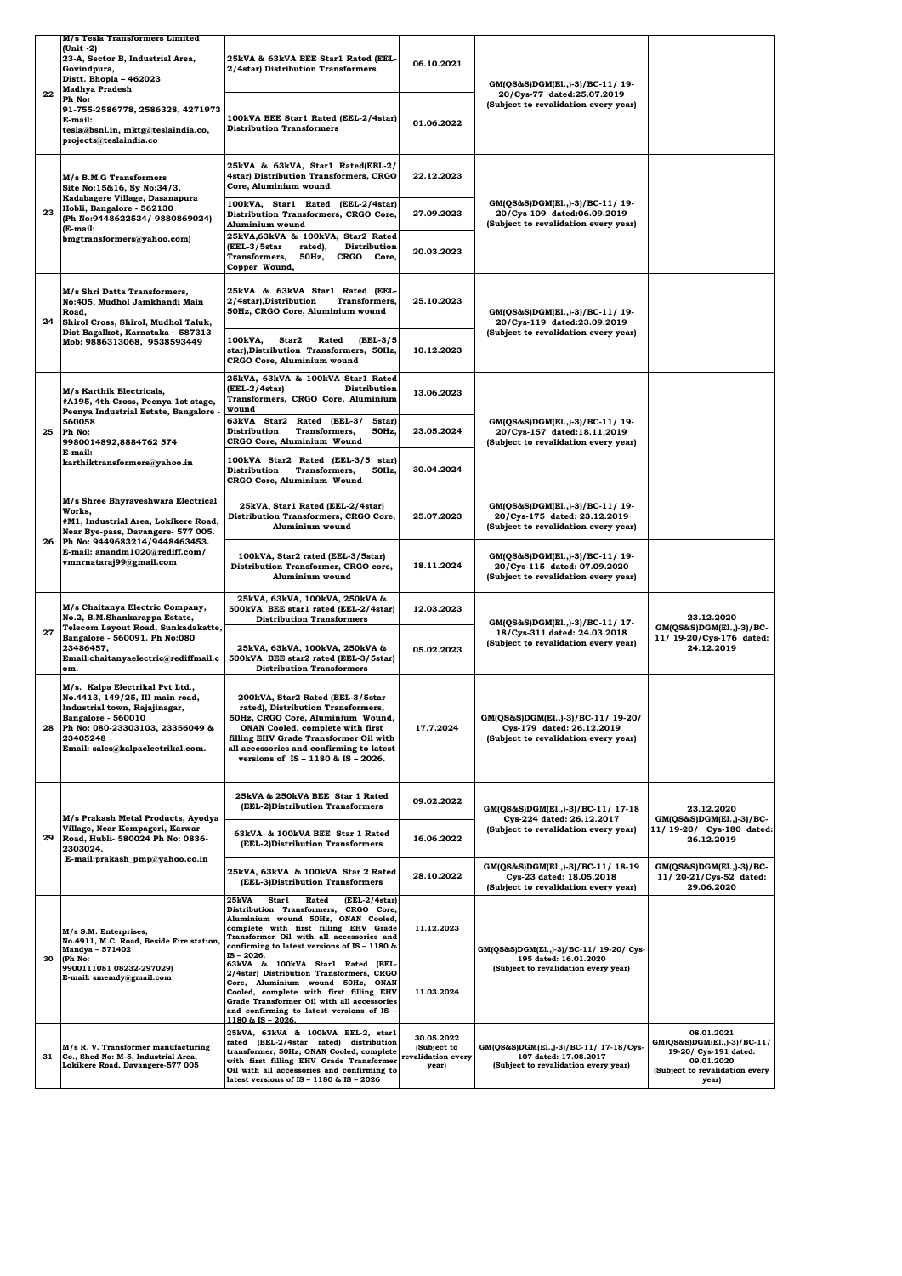|                          | M/s Tesla Transformers Limited                                                                                                                                                                                |                                                                                                                                                                                                                                                                                |                                                          |                                                                                                         |                                                                                                                             |
|--------------------------|---------------------------------------------------------------------------------------------------------------------------------------------------------------------------------------------------------------|--------------------------------------------------------------------------------------------------------------------------------------------------------------------------------------------------------------------------------------------------------------------------------|----------------------------------------------------------|---------------------------------------------------------------------------------------------------------|-----------------------------------------------------------------------------------------------------------------------------|
| (Unit -2)<br>Govindpura, | 23-A, Sector B, Industrial Area,<br>Distt. Bhopla - 462023<br><b>Madhya Pradesh</b>                                                                                                                           | 25kVA & 63kVA BEE Star1 Rated (EEL-<br>2/4star) Distribution Transformers                                                                                                                                                                                                      | 06.10.2021                                               | GM(QS&S)DGM(E1.,)-3)/BC-11/ 19-<br>20/Cys-77 dated:25.07.2019                                           |                                                                                                                             |
|                          | 22<br>Ph No:<br>91-755-2586778, 2586328, 4271973<br>E-mail:<br>tesla@bsnl.in, mktg@teslaindia.co,<br>projects@teslaindia.co                                                                                   | 100kVA BEE Star1 Rated (EEL-2/4star)<br><b>Distribution Transformers</b>                                                                                                                                                                                                       | 01.06.2022                                               | (Subject to revalidation every year)                                                                    |                                                                                                                             |
|                          | M/s B.M.G Transformers<br>Site No:15&16, Sy No:34/3,<br>Kadabagere Village, Dasanapura<br>Hobli, Bangalore - 562130<br>(Ph No:9448622534/ 9880869024)<br>(E-mail:                                             | 25kVA & 63kVA, Star1 Rated(EEL-2/<br>4star) Distribution Transformers, CRGO<br>Core, Aluminium wound                                                                                                                                                                           | 22.12.2023                                               | GM(QS&S)DGM(E1.,)-3)/BC-11/19-<br>20/Cys-109 dated:06.09.2019<br>(Subject to revalidation every year)   |                                                                                                                             |
| 23                       |                                                                                                                                                                                                               | 100kVA, Star1 Rated (EEL-2/4star)<br>Distribution Transformers, CRGO Core,<br>Aluminium wound                                                                                                                                                                                  | 27.09.2023                                               |                                                                                                         |                                                                                                                             |
|                          | bmgtransformers@yahoo.com)<br>M/s Shri Datta Transformers,<br>No:405, Mudhol Jamkhandi Main<br>Road,<br>Shirol Cross, Shirol, Mudhol Taluk,                                                                   | 25kVA,63kVA & 100kVA, Star2 Rated<br>(EEL-3/5star<br>Distribution<br>rated),<br>Transformers,<br>50Hz,<br>CRGO Core,<br>Copper Wound,                                                                                                                                          | 20.03.2023                                               |                                                                                                         |                                                                                                                             |
| 24                       |                                                                                                                                                                                                               | 25kVA & 63kVA Star1 Rated (EEL-<br>2/4star), Distribution<br>Transformers,<br>50Hz, CRGO Core, Aluminium wound                                                                                                                                                                 | 25.10.2023                                               | GM(QS&S)DGM(E1.,)-3)/BC-11/19-<br>20/Cys-119 dated:23.09.2019                                           |                                                                                                                             |
|                          | Dist Bagalkot, Karnataka - 587313<br>Mob: 9886313068, 9538593449                                                                                                                                              | 100kVA,<br>Star2<br>Rated<br>(EEL-3/5<br>star), Distribution Transformers, 50Hz,<br>CRGO Core, Aluminium wound                                                                                                                                                                 | 10.12.2023                                               | (Subject to revalidation every year)                                                                    |                                                                                                                             |
|                          | M/s Karthik Electricals,<br>#A195, 4th Cross, Peenya 1st stage,<br>Peenya Industrial Estate, Bangalore -                                                                                                      | 25kVA, 63kVA & 100kVA Star1 Rated<br>(EEL-2/4star)<br>Distribution<br>Transformers, CRGO Core, Aluminium<br>wound                                                                                                                                                              | 13.06.2023                                               |                                                                                                         |                                                                                                                             |
| 25                       | 560058<br>Ph No:<br>9980014892,8884762 574                                                                                                                                                                    | 63kVA Star2 Rated (EEL-3/<br>5star)<br>Distribution<br>Transformers,<br>50Hz,<br>CRGO Core, Aluminium Wound                                                                                                                                                                    | 23.05.2024                                               | GM(QS&S)DGM(E1.,)-3)/BC-11/ 19-<br>20/Cys-157 dated:18.11.2019<br>(Subject to revalidation every year)  |                                                                                                                             |
|                          | E-mail:<br>karthiktransformers@yahoo.in                                                                                                                                                                       | 100kVA Star2 Rated (EEL-3/5 star)<br>Distribution<br>Transformers,<br>50Hz,<br>CRGO Core, Aluminium Wound                                                                                                                                                                      | 30.04.2024                                               |                                                                                                         |                                                                                                                             |
|                          | M/s Shree Bhyraveshwara Electrical<br>Works,<br>#M1, Industrial Area, Lokikere Road,<br>Near Bye-pass, Davangere- 577 005.                                                                                    | 25kVA, Star1 Rated (EEL-2/4star)<br>Distribution Transformers, CRGO Core,<br>Aluminium wound                                                                                                                                                                                   | 25.07.2023                                               | GM(QS&S)DGM(E1.,)-3)/BC-11/ 19-<br>20/Cys-175 dated: 23.12.2019<br>(Subject to revalidation every year) |                                                                                                                             |
| 26                       | Ph No: 9449683214/9448463453.<br>E-mail: anandm1020@rediff.com/<br>vmnrnataraj99@gmail.com                                                                                                                    | 100kVA, Star2 rated (EEL-3/5star)<br>Distribution Transformer, CRGO core,<br>Aluminium wound                                                                                                                                                                                   | 18.11.2024                                               | GM(QS&S)DGM(E1.,)-3)/BC-11/19-<br>20/Cys-115 dated: 07.09.2020<br>(Subject to revalidation every year)  |                                                                                                                             |
|                          | M/s Chaitanya Electric Company,<br>No.2, B.M.Shankarappa Estate,                                                                                                                                              | 25kVA, 63kVA, 100kVA, 250kVA &<br>500kVA BEE star1 rated (EEL-2/4star)<br><b>Distribution Transformers</b>                                                                                                                                                                     | 12.03.2023                                               | GM(QS&S)DGM(E1.,)-3)/BC-11/ 17-                                                                         | 23.12.2020<br>GM(QS&S)DGM(E1.,)-3)/BC-                                                                                      |
|                          | Telecom Layout Road, Sunkadakatte,<br>27<br>Bangalore - 560091. Ph No:080<br>23486457,<br>Email:chaitanyaelectric@rediffmail.c<br>om.                                                                         | 25kVA, 63kVA, 100kVA, 250kVA &<br>500kVA BEE star2 rated (EEL-3/5star)<br><b>Distribution Transformers</b>                                                                                                                                                                     | 05.02.2023                                               | 18/Cys-311 dated: 24.03.2018<br>(Subject to revalidation every year)                                    | 11/ 19-20/Cys-176 dated:<br>24.12.2019                                                                                      |
| 28                       | M/s. Kalpa Electrikal Pvt Ltd.,<br>No.4413, 149/25, III main road,<br>Industrial town, Rajajinagar,<br>Bangalore - 560010<br>Ph No: 080-23303103, 23356049 &<br>23405248<br>Email: sales@kalpaelectrikal.com. | 200kVA, Star2 Rated (EEL-3/5star<br>rated), Distribution Transformers,<br>50Hz, CRGO Core, Aluminium Wound,<br>ONAN Cooled, complete with first<br>filling EHV Grade Transformer Oil with<br>all accessories and confirming to latest<br>versions of IS - 1180 & IS - 2026.    | 17.7.2024                                                | GM(QS&S)DGM(E1.,)-3)/BC-11/ 19-20/<br>Cys-179 dated: 26.12.2019<br>(Subject to revalidation every year) |                                                                                                                             |
|                          | M/s Prakash Metal Products, Ayodya                                                                                                                                                                            | 25kVA & 250kVA BEE Star 1 Rated<br>(EEL-2)Distribution Transformers                                                                                                                                                                                                            | 09.02.2022                                               | GM(QS&S)DGM(E1.,)-3)/BC-11/ 17-18<br>Cys-224 dated: 26.12.2017                                          | 23.12.2020<br>$GM(QS&S)DGM(E1.,-3)/BC-$                                                                                     |
| 29                       | Village, Near Kempageri, Karwar<br>Road, Hubli- 580024 Ph No: 0836-<br>2303024.                                                                                                                               | 63kVA & 100kVA BEE Star 1 Rated<br>(EEL-2)Distribution Transformers                                                                                                                                                                                                            | 16.06.2022                                               | (Subject to revalidation every year)                                                                    | 11/ 19-20/ Cys-180 dated:<br>26.12.2019                                                                                     |
|                          | E-mail:prakash_pmp@yahoo.co.in                                                                                                                                                                                | 25kVA, 63kVA & 100kVA Star 2 Rated<br>(EEL-3)Distribution Transformers                                                                                                                                                                                                         | 28.10.2022                                               | GM(QS&S)DGM(E1.,)-3)/BC-11/ 18-19<br>Cys-23 dated: 18.05.2018<br>(Subject to revalidation every year)   | GM(QS&S)DGM(E1.,)-3)/BC-<br>11/20-21/Cys-52 dated:<br>29.06.2020                                                            |
| 30                       | M/s S.M. Enterprises,<br>No.4911, M.C. Road, Beside Fire station,<br>Mandya - 571402<br>(Ph No:<br>9900111081 08232-297029)<br>E-mail: smemdy@gmail.com                                                       | $(EEL-2/4star)$<br>25kVA<br>Star1<br>Rated<br>Distribution Transformers, CRGO Core,<br>Aluminium wound 50Hz, ONAN Cooled,<br>complete with first filling EHV Grade<br>Transformer Oil with all accessories and<br>confirming to latest versions of IS - 1180 &<br>$IS - 2026.$ | 11.12.2023                                               | GM(QS&S)DGM(E1.,)-3)/BC-11/ 19-20/ Cys-                                                                 |                                                                                                                             |
|                          |                                                                                                                                                                                                               | 63kVA & 100kVA Star1 Rated (EEL-<br>2/4star) Distribution Transformers, CRGO<br>Core, Aluminium wound 50Hz, ONAN<br>Cooled, complete with first filling EHV<br>Grade Transformer Oil with all accessories<br>and confirming to latest versions of IS -<br>1180 & IS - 2026.    | 11.03.2024                                               | 195 dated: 16.01.2020<br>(Subject to revalidation every year)                                           |                                                                                                                             |
| 31                       | M/s R.V. Transformer manufacturing<br>Co., Shed No: M-5, Industrial Area,<br>Lokikere Road, Davangere-577 005                                                                                                 | 25kVA, 63kVA & 100kVA EEL-2, star1<br>rated (EEL-2/4star rated) distribution<br>transformer, 50Hz, ONAN Cooled, complete<br>with first filling EHV Grade Transformer<br>Oil with all accessories and confirming to<br>latest versions of IS - 1180 & IS - 2026                 | 30.05.2022<br>(Subject to<br>revalidation every<br>year) | GM(QS&S)DGM(E1.,)-3)/BC-11/ 17-18/Cys-<br>107 dated: 17.08.2017<br>(Subject to revalidation every year) | 08.01.2021<br>GM(QS&S)DGM(E1.,)-3)/BC-11/<br>19-20/ Cys-191 dated:<br>09.01.2020<br>(Subject to revalidation every<br>year) |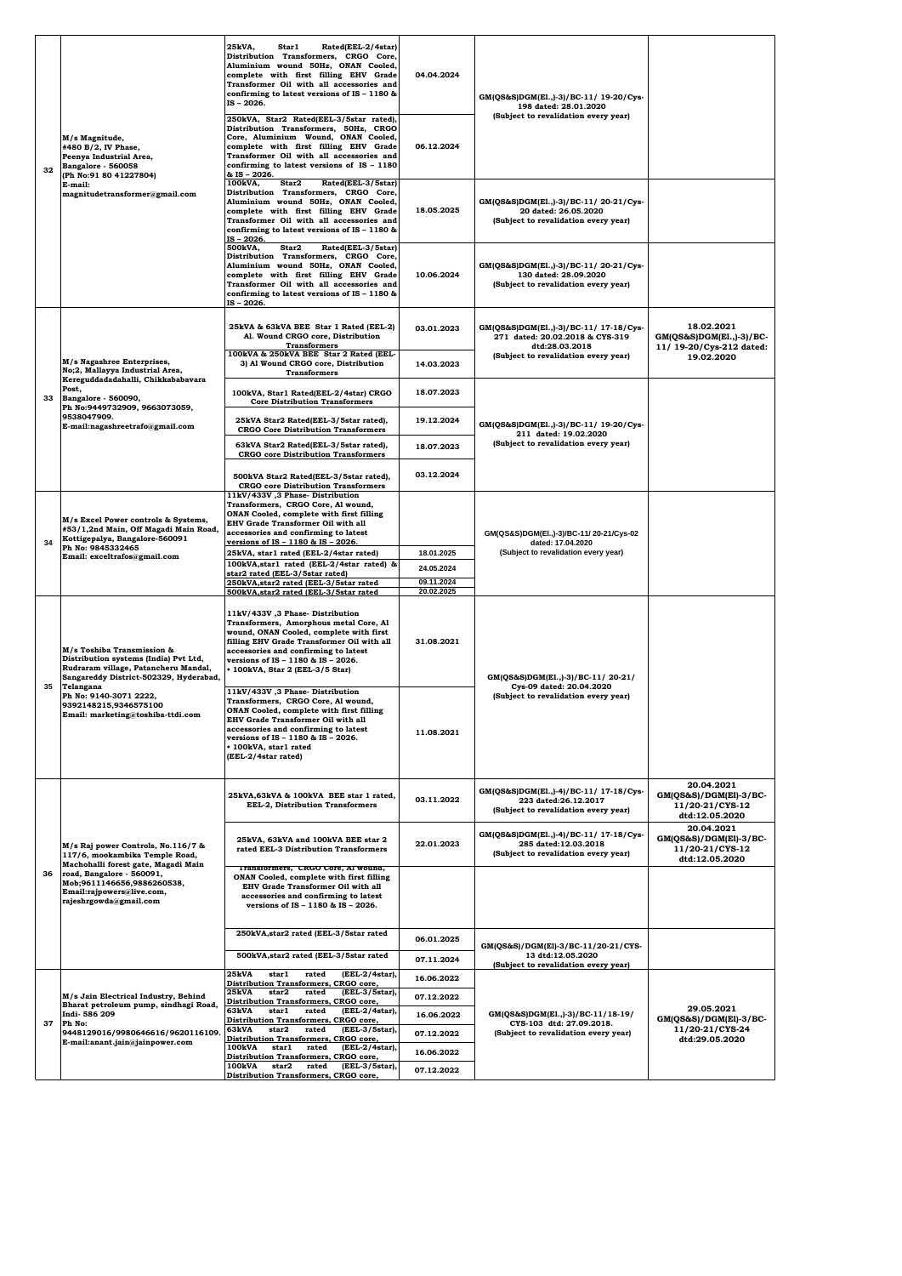|    |                                                                                                                                                                                                                                                            | 25kVA,<br>Star1<br>Rated(EEL-2/4star)<br>Distribution Transformers, CRGO Core,<br>Aluminium wound 50Hz, ONAN Cooled,<br>complete with first filling EHV Grade<br>Transformer Oil with all accessories and<br>confirming to latest versions of IS - 1180 &<br>IS-2026.                                                         | 04.04.2024               | GM(QS&S)DGM(El.,)-3)/BC-11/ 19-20/Cys-<br>198 dated: 28.01.2020<br>(Subject to revalidation every year) |                                                                           |
|----|------------------------------------------------------------------------------------------------------------------------------------------------------------------------------------------------------------------------------------------------------------|-------------------------------------------------------------------------------------------------------------------------------------------------------------------------------------------------------------------------------------------------------------------------------------------------------------------------------|--------------------------|---------------------------------------------------------------------------------------------------------|---------------------------------------------------------------------------|
| 32 | M/s Magnitude,<br>#480 B/2, IV Phase,<br>Peenya Industrial Area,<br>Bangalore - 560058<br>(Ph No:91 80 41227804)<br>E-mail:<br>$\textcolor{red}{magnitude} transformer \textcolor{red}{\textcolor{green}{\bar{a}}}\textcolor{green}{ganail.com}$           | 250kVA, Star2 Rated(EEL-3/5star rated),<br>Distribution Transformers, 50Hz, CRGO<br>Core, Aluminium Wound, ONAN Cooled,<br>complete with first filling EHV Grade<br>Transformer Oil with all accessories and<br>confirming to latest versions of IS - 1180<br>& IS - 2026.                                                    | 06.12.2024               |                                                                                                         |                                                                           |
|    |                                                                                                                                                                                                                                                            | Star2<br>Rated(EEL-3/5star)<br>100kVA,<br>Distribution Transformers, CRGO Core,<br>Aluminium wound 50Hz, ONAN Cooled,<br>complete with first filling EHV Grade<br>Transformer Oil with all accessories and<br>confirming to latest versions of IS - 1180 &<br>IS-2026.                                                        | 18.05.2025               | GM(QS&S)DGM(E1.,)-3)/BC-11/20-21/Cys-<br>20 dated: 26.05.2020<br>(Subject to revalidation every year)   |                                                                           |
|    |                                                                                                                                                                                                                                                            | Rated(EEL-3/5star)<br>500kVA,<br>Star2<br>Distribution Transformers, CRGO Core,<br>Aluminium wound 50Hz, ONAN Cooled,<br>complete with first filling EHV Grade<br>Transformer Oil with all accessories and<br>confirming to latest versions of IS - 1180 &<br>IS - 2026.                                                      | 10.06.2024               | GM(QS&S)DGM(E1.,)-3)/BC-11/20-21/Cys-<br>130 dated: 28.09.2020<br>(Subject to revalidation every year)  |                                                                           |
|    |                                                                                                                                                                                                                                                            | 25kVA & 63kVA BEE Star 1 Rated (EEL-2)<br>Al. Wound CRGO core, Distribution<br><b>Transformers</b>                                                                                                                                                                                                                            | 03.01.2023               | GM(QS&S)DGM(E1.,)-3)/BC-11/ 17-18/Cys-<br>271 dated: 20.02.2018 & CYS-319<br>dtd:28.03.2018             | 18.02.2021<br>$GM(QS&S)DGM(E1.,-3)/BC-$<br>11/ 19-20/Cys-212 dated:       |
|    | M/s Nagashree Enterprises,<br>No;2, Mallayya Industrial Area,<br>Kereguddadadahalli, Chikkababavara                                                                                                                                                        | 100kVA & 250kVA BEE Star 2 Rated (EEL-<br>3) Al Wound CRGO core, Distribution<br><b>Transformers</b>                                                                                                                                                                                                                          | 14.03.2023               | (Subject to revalidation every year)                                                                    | 19.02.2020                                                                |
| 33 | Post,<br>Bangalore - 560090,<br>Ph No:9449732909, 9663073059,                                                                                                                                                                                              | 100kVA, Star1 Rated(EEL-2/4star) CRGO<br><b>Core Distribution Transformers</b>                                                                                                                                                                                                                                                | 18.07.2023               |                                                                                                         |                                                                           |
|    | 9538047909.<br>E-mail:nagashreetrafo@gmail.com                                                                                                                                                                                                             | 25kVA Star2 Rated(EEL-3/5star rated),<br><b>CRGO Core Distribution Transformers</b>                                                                                                                                                                                                                                           | 19.12.2024               | GM(QS&S)DGM(E1.,)-3)/BC-11/ 19-20/Cys-<br>211 dated: 19.02.2020                                         |                                                                           |
|    |                                                                                                                                                                                                                                                            | 63kVA Star2 Rated(EEL-3/5star rated),<br><b>CRGO</b> core Distribution Transformers                                                                                                                                                                                                                                           | 18.07.2023               | (Subject to revalidation every year)                                                                    |                                                                           |
|    |                                                                                                                                                                                                                                                            | 500kVA Star2 Rated(EEL-3/5star rated),<br><b>CRGO</b> core Distribution Transformers                                                                                                                                                                                                                                          | 03.12.2024               |                                                                                                         |                                                                           |
| 34 | M/s Excel Power controls & Systems,<br>#53/1,2nd Main, Off Magadi Main Road,<br>Kottigepalya, Bangalore-560091<br>Ph No: 9845332465<br>Email: exceltrafos@gmail.com                                                                                        | 11kV/433V, 3 Phase-Distribution<br>Transformers, CRGO Core, Al wound,<br>ONAN Cooled, complete with first filling<br>EHV Grade Transformer Oil with all<br>accessories and confirming to latest<br>versions of IS - 1180 & IS - 2026.                                                                                         |                          | GM(QS&S)DGM(El.,)-3)/BC-11/ 20-21/Cys-02<br>dated: 17.04.2020                                           |                                                                           |
|    |                                                                                                                                                                                                                                                            | 25kVA, star1 rated (EEL-2/4star rated)<br>100kVA, star1 rated (EEL-2/4star rated) &                                                                                                                                                                                                                                           | 18.01.2025               | (Subject to revalidation every year)                                                                    |                                                                           |
|    |                                                                                                                                                                                                                                                            | star2 rated (EEL-3/5star rated)<br>250kVA, star2 rated (EEL-3/5star rated                                                                                                                                                                                                                                                     | 24.05.2024<br>09.11.2024 |                                                                                                         |                                                                           |
|    | M/s Toshiba Transmission &<br>Distribution systems (India) Pvt Ltd,<br>Rudraram village, Patancheru Mandal,<br>Sangareddy District-502329, Hyderabad,<br>Telangana<br>Ph No: 9140-3071 2222,<br>9392148215,9346575100<br>Email: marketing@toshiha.ttdi.com | 500kVA, star2 rated (EEL-3/5star rated<br>11kV/433V ,3 Phase-Distribution<br>Transformers, Amorphous metal Core, Al<br>wound, ONAN Cooled, complete with first<br>filling EHV Grade Transformer Oil with all<br>accessories and confirming to latest<br>versions of IS - 1180 & IS - 2026.<br>• 100kVA, Star 2 (EEL-3/5 Star) | 20.02.2025<br>31.08.2021 | GM(QS&S)DGM(E1.,)-3)/BC-11/20-21/                                                                       |                                                                           |
| 35 |                                                                                                                                                                                                                                                            | 11kV/433V ,3 Phase-Distribution<br>Transformers, CRGO Core, Al wound,<br>ONAN Cooled, complete with first filling<br><b>EHV Grade Transformer Oil with all</b><br>accessories and confirming to latest<br>versions of IS - 1180 & IS - 2026.<br>• 100kVA, star1 rated<br>(EEL-2/4star rated)                                  | 11.08.2021               | Cys-09 dated: 20.04.2020<br>(Subject to revalidation every year)                                        |                                                                           |
|    |                                                                                                                                                                                                                                                            | 25kVA,63kVA & 100kVA BEE star 1 rated,<br><b>EEL-2, Distribution Transformers</b>                                                                                                                                                                                                                                             | 03.11.2022               | GM(QS&S)DGM(El.,)-4)/BC-11/ 17-18/Cys-<br>223 dated:26.12.2017<br>(Subject to revalidation every year)  | 20.04.2021<br>GM(QS&S)/DGM(El)-3/BC-<br>11/20-21/CYS-12<br>dtd:12.05.2020 |
|    | M/s Raj power Controls, No.116/7 &<br>117/6, mookambika Temple Road,<br>Machohalli forest gate, Magadi Main                                                                                                                                                | 25kVA, 63kVA and 100kVA BEE star 2<br>rated EEL-3 Distribution Transformers                                                                                                                                                                                                                                                   | 22.01.2023               | GM(QS&S)DGM(E1.,)-4)/BC-11/ 17-18/Cys-<br>285 dated:12.03.2018<br>(Subject to revalidation every year)  | 20.04.2021<br>GM(QS&S)/DGM(El)-3/BC-<br>11/20-21/CYS-12<br>dtd:12.05.2020 |
| 36 | road, Bangalore - 560091,<br>Mob;9611146656,9886260538,<br>Email:rajpowers@live.com,<br>rajeshrgowda@gmail.com                                                                                                                                             | Transtormers, CRGO Core, Al wound,<br>ONAN Cooled, complete with first filling<br><b>EHV Grade Transformer Oil with all</b><br>accessories and confirming to latest<br>versions of IS - 1180 & IS - 2026.                                                                                                                     |                          |                                                                                                         |                                                                           |
|    |                                                                                                                                                                                                                                                            | 250kVA, star2 rated (EEL-3/5star rated                                                                                                                                                                                                                                                                                        | 06.01.2025               | GM(QS&S)/DGM(El)-3/BC-11/20-21/CYS-                                                                     |                                                                           |
|    |                                                                                                                                                                                                                                                            | 500kVA, star2 rated (EEL-3/5star rated                                                                                                                                                                                                                                                                                        | 07.11.2024               | 13 dtd:12.05.2020<br>(Subject to revalidation every year)                                               |                                                                           |
|    |                                                                                                                                                                                                                                                            | 25kVA<br>(EEL-2/4star),<br>star1<br>rated<br>Distribution Transformers, CRGO core,<br>(EEL-3/5star),<br>25kVA<br>star2<br>rated                                                                                                                                                                                               | 16.06.2022               |                                                                                                         |                                                                           |
|    | M/s Jain Electrical Industry, Behind<br>Bharat petroleum pump, sindhagi Road,<br>Indi-586 209                                                                                                                                                              | Distribution Transformers, CRGO core,<br>63kVA<br>(EEL-2/4star),<br>star1<br>rated                                                                                                                                                                                                                                            | 07.12.2022<br>16.06.2022 |                                                                                                         | 29.05.2021                                                                |
| 37 | Ph No:<br>9448129016/9980646616/9620116109.                                                                                                                                                                                                                | <b>Distribution Transformers,</b><br>CRGO core,<br>63kVA<br>star2<br>rated<br>(EEL-3/5star),                                                                                                                                                                                                                                  | 07.12.2022               | GM(QS&S)DGM(E1.,)-3)/BC-11/18-19/<br>CYS-103 dtd: 27.09.2018.<br>(Subject to revalidation every year)   | GM(QS&S)/DGM(El)-3/BC-<br>11/20-21/CYS-24                                 |
|    | E-mail:anant.jain@jainpower.com                                                                                                                                                                                                                            | Distribution Transformers, CRGO core,<br>(EEL-2/4star),<br>100kVA<br>star1<br>rated<br>Distribution Transformers, CRGO core,                                                                                                                                                                                                  | 16.06.2022               |                                                                                                         | dtd:29.05.2020                                                            |
|    |                                                                                                                                                                                                                                                            | 100kVA<br>star2<br>rated<br>(EEL-3/5star),<br>Distribution Transformers, CRGO core,                                                                                                                                                                                                                                           | 07.12.2022               |                                                                                                         |                                                                           |